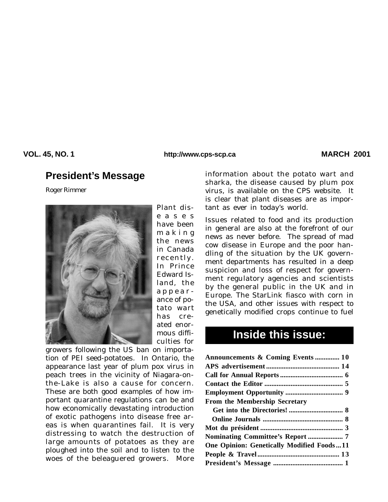**VOL. 45, NO. 1 MARCH 2001 http://www.cps-scp.ca**

# **President's Message**

*Roger Rimmer*



Plant diseases have been making the news in Canada recently. In Prince Edward Island, the appearance of potato wart has created enormous difficulties for

growers following the US ban on importation of PEI seed-potatoes. In Ontario, the appearance last year of plum pox virus in peach trees in the vicinity of Niagara-onthe-Lake is also a cause for concern. These are both good examples of how important quarantine regulations can be and how economically devastating introduction of exotic pathogens into disease free areas is when quarantines fail. It is very distressing to watch the destruction of large amounts of potatoes as they are ploughed into the soil and to listen to the woes of the beleaguered growers. More

information about the potato wart and sharka, the disease caused by plum pox virus, is available on the CPS website. It is clear that plant diseases are as important as ever in today's world.

Issues related to food and its production in general are also at the forefront of our news as never before. The spread of mad cow disease in Europe and the poor handling of the situation by the UK government departments has resulted in a deep suspicion and loss of respect for government regulatory agencies and scientists by the general public in the UK and in Europe. The StarLink fiasco with corn in the USA, and other issues with respect to genetically modified crops continue to fuel

# **Inside this issue:**

| Announcements & Coming Events  10                |
|--------------------------------------------------|
|                                                  |
|                                                  |
|                                                  |
|                                                  |
| From the Membership Secretary                    |
|                                                  |
|                                                  |
|                                                  |
|                                                  |
| <b>One Opinion: Genetically Modified Foods11</b> |
|                                                  |
|                                                  |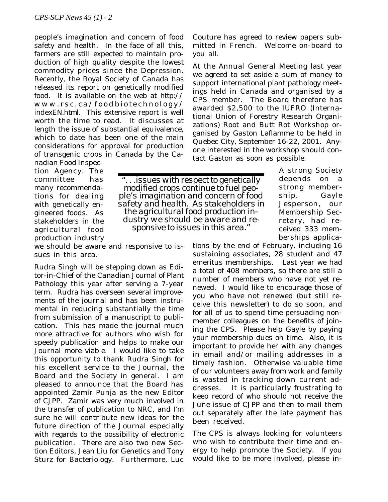people's imagination and concern of food safety and health. In the face of all this, farmers are still expected to maintain production of high quality despite the lowest commodity prices since the Depression. Recently, the Royal Society of Canada has released its report on genetically modified food. It is available on the web at *http:// www.rsc.ca/foodbiotechnology/ indexEN.html.* This extensive report is well worth the time to read. It discusses at length the issue of substantial equivalence, which to date has been one of the main considerations for approval for production of transgenic crops in Canada by the Ca-

nadian Food Inspection Agency. The committee has many recommendations for dealing with genetically engineered foods. As stakeholders in the agricultural food production industry

*". . .issues with respect to genetically modified crops continue to fuel people's imagination and concern of food safety and health. As stakeholders in the agricultural food production industry we should be aware and re- sponsive to issues in this area."*

we should be aware and responsive to issues in this area.

Rudra Singh will be stepping down as Editor-in-Chief of the *Canadian Journal of Plant Pathology* this year after serving a 7-year term. Rudra has overseen several improvements of the journal and has been instrumental in reducing substantially the time from submission of a manuscript to publication. This has made the journal much more attractive for authors who wish for speedy publication and helps to make our Journal more viable. I would like to take this opportunity to thank Rudra Singh for his excellent service to the Journal, the Board and the Society in general. I am pleased to announce that the Board has appointed Zamir Punja as the new Editor of *CJPP*. Zamir was very much involved in the transfer of publication to NRC, and I'm sure he will contribute new ideas for the future direction of the Journal especially with regards to the possibility of electronic publication. There are also two new Section Editors, Jean Liu for Genetics and Tony Sturz for Bacteriology. Furthermore, Luc Couture has agreed to review papers submitted in French. Welcome on-board to you all.

At the Annual General Meeting last year we agreed to set aside a sum of money to support international plant pathology meetings held in Canada and organised by a CPS member. The Board therefore has awarded \$2,500 to the IUFRO (International Union of Forestry Research Organizations) Root and Butt Rot Workshop organised by Gaston Laflamme to be held in Quebec City, September 16-22, 2001. Anyone interested in the workshop should contact Gaston as soon as possible.

> A strong Society depends on a strong membership. Gayle Jesperson, our Membership Secretary, had received 333 memberships applica-

tions by the end of February, including 16 sustaining associates, 28 student and 47 emeritus memberships. Last year we had a total of 408 members, so there are still a number of members who have not yet renewed. I would like to encourage those of you who have not renewed (but still receive this newsletter) to do so soon, and for all of us to spend time persuading nonmember colleagues on the benefits of joining the CPS. Please help Gayle by paying your membership dues on time. Also, it is important to provide her with any changes in email and/or mailing addresses in a timely fashion. Otherwise valuable time of our volunteers away from work and family is wasted in tracking down current addresses. It is particularly frustrating to keep record of who should not receive the June issue of *CJPP* and then to mail them out separately after the late payment has been received.

The CPS is always looking for volunteers who wish to contribute their time and energy to help promote the Society. If you would like to be more involved, please in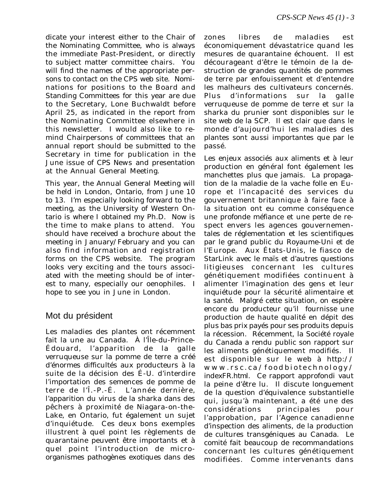dicate your interest either to the Chair of the Nominating Committee, who is always the immediate Past-President, or directly to subject matter committee chairs. You will find the names of the appropriate persons to contact on the CPS web site. Nominations for positions to the Board and Standing Committees for this year are due to the Secretary, Lone Buchwaldt before April 25, as indicated in the report from the Nominating Committee elsewhere in this newsletter. I would also like to remind Chairpersons of committees that an annual report should be submitted to the Secretary in time for publication in the June issue of *CPS News* and presentation at the Annual General Meeting.

This year, the Annual General Meeting will be held in London, Ontario, from June 10 to 13. I'm especially looking forward to the meeting, as the University of Western Ontario is where I obtained my Ph.D. Now is the time to make plans to attend. You should have received a brochure about the meeting in January/February and you can also find information and registration forms on the CPS website. The program looks very exciting and the tours associated with the meeting should be of interest to many, especially our oenophiles. I hope to see you in June in London.

### Mot du président

Les maladies des plantes ont récemment fait la une au Canada. À l'Île-du-Prince-Édouard, l'apparition de la galle verruqueuse sur la pomme de terre a créé d'énormes difficultés aux producteurs à la suite de la décision des É-U. d'interdire l'importation des semences de pomme de terre de l'Î.-P.-É. L'année dernière, l'apparition du virus de la sharka dans des pêchers à proximité de Niagara-on-the-Lake, en Ontario, fut également un sujet d'inquiétude. Ces deux bons exemples illustrent à quel point les règlements de quarantaine peuvent être importants et à quel point l'introduction de microorganismes pathogènes exotiques dans des zones libres de maladies est économiquement dévastatrice quand les mesures de quarantaine échouent. Il est décourageant d'être le témoin de la destruction de grandes quantités de pommes de terre par enfouissement et d'entendre les malheurs des cultivateurs concernés. Plus d'informations sur la galle verruqueuse de pomme de terre et sur la sharka du prunier sont disponibles sur le site web de la SCP. Il est clair que dans le monde d'aujourd'hui les maladies des plantes sont aussi importantes que par le passé.

Les enjeux associés aux aliments et à leur production en général font également les manchettes plus que jamais. La propagation de la maladie de la vache folle en Europe et l'incapacité des services du gouvernement britannique à faire face à la situation ont eu comme conséquence une profonde méfiance et une perte de respect envers les agences gouvernementales de réglementation et les scientifiques par le grand public du Royaume-Uni et de l'Europe. Aux États-Unis, le fiasco de StarLink avec le maïs et d'autres questions litigieuses concernant les cultures génétiquement modifiées continuent à alimenter l'imagination des gens et leur inquiétude pour la sécurité alimentaire et la santé. Malgré cette situation, on espère encore du producteur qu'il fournisse une production de haute qualité en dépit des plus bas prix payés pour ses produits depuis la récession. Récemment, la Société royale du Canada a rendu public son rapport sur les aliments génétiquement modifiés. Il est disponible sur le web à *http:// www.rsc.ca/foodbiotechnology/ indexFR.html.* Ce rapport approfondi vaut la peine d'être lu. Il discute longuement de la question d'équivalence substantielle qui, jusqu'à maintenant, a été une des considérations principales pour l'approbation, par l'Agence canadienne d'inspection des aliments, de la production de cultures transgéniques au Canada. Le comité fait beaucoup de recommandations concernant les cultures génétiquement modifiées. Comme intervenants dans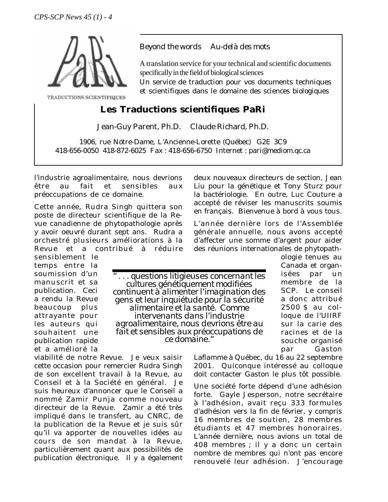

TRADUCTIONS SCIENTIFIQUES

#### *Beyond the words Au-delà des mots*

A translation service for your technical and scientific documents specifically in the field of biological sciences

Un service de traduction pour vos documents techniques et scientifiques dans le domaine des sciences biologiques

### **Les Traductions scientifiques PaRi**

Jean-Guy Parent, Ph.D. Claude Richard, Ph.D.

1906, rue Notre-Dame, L'Ancienne-Lorette (Québec) G2E 3C9 418-656-0050 418-872-6025 Fax : 418-656-6750 Internet : pari@mediom.qc.ca

l'industrie agroalimentaire, nous devrions être au fait et sensibles aux préoccupations de ce domaine.

Cette année, Rudra Singh quittera son poste de directeur scientifique de la Revue canadienne de phytopathologie après y avoir oeuvré durant sept ans. Rudra a orchestré plusieurs améliorations à la Revue et a contribué à réduire

sensiblement le temps entre la soumission d'un manuscrit et sa publication. Ceci a rendu la Revue beaucoup plus attrayante pour les auteurs qui souhaitent une publication rapide et a amélioré la

viabilité de notre Revue. Je veux saisir cette occasion pour remercier Rudra Singh de son excellent travail à la Revue, au Conseil et à la Société en général. Je suis heureux d'annoncer que le Conseil a nommé Zamir Punja comme nouveau directeur de la Revue. Zamir a été très impliqué dans le transfert, au CNRC, de la publication de la Revue et je suis sûr qu'il va apporter de nouvelles idées au cours de son mandat à la Revue, particulièrement quant aux possibilités de publication électronique. Il y a également

deux nouveaux directeurs de section, Jean Liu pour la génétique et Tony Sturz pour la bactériologie. En outre, Luc Couture a accepté de réviser les manuscrits soumis en français. Bienvenue à bord à vous tous.

L'année dernière lors de l'Assemblée générale annuelle, nous avons accepté d'affecter une somme d'argent pour aider des réunions internationales de phytopath-

*" . . . questions litigieuses concernant les cultures génétiquement modifiées continuent à alimenter l'imagination des gens et leur inquiétude pour la sécurité alimentaire et la santé. Comme intervenants dans l'industrie agroalimentaire, nous devrions être au fait et sensibles aux préoccupations de ce domaine."*

ologie tenues au Canada et organisées par un membre de la SCP. Le conseil a donc attribué 2500 \$ au colloque de l'UIIRF sur la carie des racines et de la souche organisé par Gaston

Laflamme à Québec, du 16 au 22 septembre 2001. Quiconque intéressé au colloque doit contacter Gaston le plus tôt possible.

Une société forte dépend d'une adhésion forte. Gayle Jesperson, notre secrétaire à l'adhésion, avait reçu 333 formules d'adhésion vers la fin de février, y compris 16 membres de soutien, 28 membres étudiants et 47 membres honoraires. L'année dernière, nous avions un total de 408 membres ; il y a donc un certain nombre de membres qui n'ont pas encore renouvelé leur adhésion. J'encourage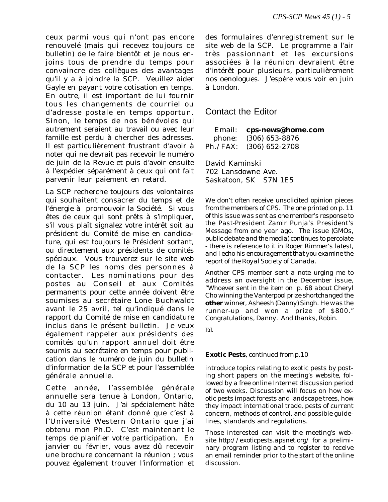ceux parmi vous qui n'ont pas encore renouvelé (mais qui recevez toujours ce bulletin) de le faire bientôt et je nous enjoins tous de prendre du temps pour convaincre des collègues des avantages qu'il y a à joindre la SCP. Veuillez aider Gayle en payant votre cotisation en temps. En outre, il est important de lui fournir tous les changements de courriel ou d'adresse postale en temps opportun. Sinon, le temps de nos bénévoles qui autrement seraient au travail ou avec leur famille est perdu à chercher des adresses. Il est particulièrement frustrant d'avoir à noter qui ne devrait pas recevoir le numéro de juin de la Revue et puis d'avoir ensuite à l'expédier séparément à ceux qui ont fait parvenir leur paiement en retard.

La SCP recherche toujours des volontaires qui souhaitent consacrer du temps et de l'énergie à promouvoir la Société. Si vous êtes de ceux qui sont prêts à s'impliquer, s'il vous plaît signalez votre intérêt soit au président du Comité de mise en candidature, qui est toujours le Président sortant, ou directement aux présidents de comités spéciaux. Vous trouverez sur le site web de la SCP les noms des personnes à contacter. Les nominations pour des postes au Conseil et aux Comités permanents pour cette année doivent être soumises au secrétaire Lone Buchwaldt avant le 25 avril, tel qu'indiqué dans le rapport du Comité de mise en candidature inclus dans le présent bulletin. Je veux également rappeler aux présidents des comités qu'un rapport annuel doit être soumis au secrétaire en temps pour publication dans le numéro de juin du bulletin d'information de la SCP et pour l'assemblée générale annuelle.

Cette année, l'assemblée générale annuelle sera tenue à London, Ontario, du 10 au 13 juin. J'ai spécialement hâte à cette réunion étant donné que c'est à l'Université Western Ontario que j'ai obtenu mon Ph.D. C'est maintenant le temps de planifier votre participation. En janvier ou février, vous avez dû recevoir une brochure concernant la réunion ; vous pouvez également trouver l'information et des formulaires d'enregistrement sur le site web de la SCP. Le programme a l'air très passionnant et les excursions associées à la réunion devraient être d'intérêt pour plusieurs, particulièrement nos oenologues. J'espère vous voir en juin à London.

#### Contact the Editor

Email: **cps-news@home.com** phone: (306) 653-8876 Ph./FAX: (306) 652-2708

David Kaminski 702 Lansdowne Ave. Saskatoon, SK S7N 1E5

*We don't often receive unsolicited opinion pieces from the members of CPS. The one printed on p. 11 of this issue was sent as one member's response to the Past-President Zamir Punja's* President's Message *from one year ago. The issue (GMOs, public debate and the media) continues to percolate - there is reference to it in Roger Rimmer's latest, and I echo his encouragement that you examine the report of the Royal Society of Canada.*

*Another CPS member sent a note urging me to address an oversight in the December issue, "Whoever sent in the item on p. 68 about Cheryl Cho winning the Vanterpool prize shortchanged the other winner, Asheesh (Danny) Singh. He was the runner-up and won a prize of \$800." Congratulations, Danny. And thanks, Robin.*

Ed.

#### **Exotic Pests***, continued from p.10*

introduce topics relating to exotic pests by posting short papers on the meeting's website, followed by a free online Internet discussion period of two weeks. Discussion will focus on how exotic pests impact forests and landscape trees, how they impact international trade, pests of current concern, methods of control, and possible guidelines, standards and regulations.

Those interested can visit the meeting's website *http://exoticpests.apsnet.org/* for a preliminary program listing and to register to receive an email reminder prior to the start of the online discussion.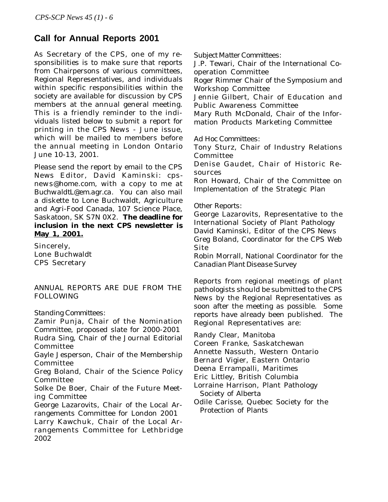# **Call for Annual Reports 2001**

As Secretary of the CPS, one of my responsibilities is to make sure that reports from Chairpersons of various committees, Regional Representatives, and individuals within specific responsibilities within the society are available for discussion by CPS members at the annual general meeting. This is a friendly reminder to the individuals listed below to submit a report for printing in the *CPS News* - June issue, which will be mailed to members before the annual meeting in London Ontario June 10-13, 2001.

Please send the report by email to the CPS News Editor, David Kaminski: *cpsnews@home.com*, with a copy to me at *BuchwaldtL@em.agr.ca*. You can also mail a diskette to Lone Buchwaldt, Agriculture and Agri-Food Canada, 107 Science Place, Saskatoon, SK S7N 0X2. **The deadline for inclusion in the next CPS newsletter is May 1, 2001.**

Sincerely, Lone Buchwaldt CPS Secretary

#### ANNUAL REPORTS ARE DUE FROM THE FOLLOWING

#### *Standing Committees:*

Zamir Punja, Chair of the Nomination Committee, proposed slate for 2000-2001 Rudra Sing, Chair of the Journal Editorial Committee

Gayle Jesperson, Chair of the Membership Committee

Greg Boland, Chair of the Science Policy Committee

Solke De Boer, Chair of the Future Meeting Committee

George Lazarovits, Chair of the Local Arrangements Committee for London 2001

Larry Kawchuk, Chair of the Local Arrangements Committee for Lethbridge 2002

*Subject Matter Committees:*

J.P. Tewari, Chair of the International Cooperation Committee

Roger Rimmer Chair of the Symposium and Workshop Committee

Jennie Gilbert, Chair of Education and Public Awareness Committee

Mary Ruth McDonald, Chair of the Information Products Marketing Committee

*Ad Hoc Committees:*

Tony Sturz, Chair of Industry Relations Committee

Denise Gaudet, Chair of Historic Resources

Ron Howard, Chair of the Committee on Implementation of the Strategic Plan

#### *Other Reports:*

George Lazarovits, Representative to the International Society of Plant Pathology David Kaminski, Editor of the *CPS News* Greg Boland, Coordinator for the CPS Web Site

Robin Morrall, National Coordinator for the *Canadian Plant Disease Survey*

Reports from regional meetings of plant pathologists should be submitted to the *CPS News* by the Regional Representatives as soon after the meeting as possible. Some reports have already been published. The Regional Representatives are:

Randy Clear, Manitoba

Coreen Franke, Saskatchewan

Annette Nassuth, Western Ontario

Bernard Vigier, Eastern Ontario

Deena Errampalli, Maritimes

- Eric Littley, British Columbia
- Lorraine Harrison, Plant Pathology Society of Alberta
- Odile Carisse, Quebec Society for the Protection of Plants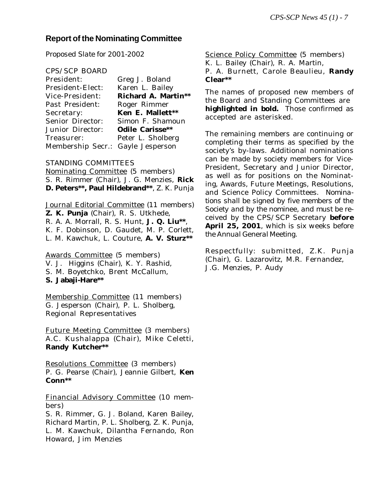### **Report of the Nominating Committee**

*Proposed Slate for 2001-2002*

#### CPS/SCP BOARD

| President:                        | Greg J. Boland             |
|-----------------------------------|----------------------------|
| President-Elect:                  | Karen L. Bailey            |
| Vice-President:                   | <b>Richard A. Martin**</b> |
| Past President:                   | Roger Rimmer               |
| Secretary:                        | Ken E. Mallett**           |
| <b>Senior Director:</b>           | Simon F. Shamoun           |
| <b>Junior Director:</b>           | <b>Odile Carisse**</b>     |
| Treasurer:                        | Peter L. Sholberg          |
| Membership Secr.: Gayle Jesperson |                            |

#### STANDING COMMITTEES

Nominating Committee (5 members) S. R. Rimmer (Chair), J. G. Menzies, **Rick D. Peters\*\*, Paul Hildebrand\*\***, Z. K. Punja

Journal Editorial Committee (11 members) **Z. K. Punja** (Chair), R. S. Utkhede, R. A. A. Morrall, R. S. Hunt, **J. Q. Liu\*\***, K. F. Dobinson, D. Gaudet, M. P. Corlett, L. M. Kawchuk, L. Couture, **A. V. Sturz\*\***

Awards Committee (5 members) V. J. Higgins (Chair), K. Y. Rashid, S. M. Boyetchko, Brent McCallum, **S. Jabaji-Hare\*\***

Membership Committee (11 members) G. Jesperson (Chair), P. L. Sholberg, Regional Representatives

Future Meeting Committee (3 members) A.C. Kushalappa (Chair), Mike Celetti, **Randy Kutcher\*\***

Resolutions Committee (3 members) P. G. Pearse (Chair), Jeannie Gilbert, **Ken Conn\*\***

Financial Advisory Committee (10 members)

S. R. Rimmer, G. J. Boland, Karen Bailey, Richard Martin, P. L. Sholberg, Z. K. Punja, L. M. Kawchuk, Dilantha Fernando, Ron Howard, Jim Menzies

Science Policy Committee (5 members) K. L. Bailey (Chair), R. A. Martin, P. A. Burnett, Carole Beaulieu, **Randy**

**Clear\*\***

The names of proposed new members of the Board and Standing Committees are **highlighted in bold.** Those confirmed as accepted are asterisked.

The remaining members are continuing or completing their terms as specified by the society's by-laws. Additional nominations can be made by society members for Vice-President, Secretary and Junior Director, as well as for positions on the Nominating, Awards, Future Meetings, Resolutions, and Science Policy Committees. *Nominations shall be signed by five members of the Society and by the nominee, and must be received by the CPS/SCP Secretary before April 25, 2001, which is six weeks before the Annual General Meeting.*

Respectfully: submitted, Z.K. Punja (Chair), G. Lazarovitz, M.R. Fernandez, J.G. Menzies, P. Audy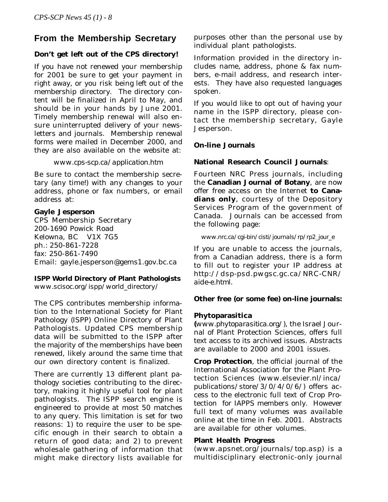### **From the Membership Secretary**

#### **Don't get left out of the CPS directory!**

If you have not renewed your membership for 2001 be sure to get your payment in right away, or you risk being left out of the membership directory. The directory content will be finalized in April to May, and should be in your hands by June 2001. Timely membership renewal will also ensure uninterrupted delivery of your newsletters and journals. Membership renewal forms were mailed in December 2000, and they are also available on the website at:

#### *www.cps-scp.ca/application.htm*

Be sure to contact the membership secretary (any time!) with any changes to your address, phone or fax numbers, or email address at:

#### **Gayle Jesperson**

CPS Membership Secretary 200-1690 Powick Road Kelowna, BC V1X 7G5 ph.: 250-861-7228 fax: 250-861-7490 Email: gayle.jesperson@gems1.gov.bc.ca

#### **ISPP World Directory of Plant Pathologists**

*www.scisoc.org/ispp/world\_directory/*

The CPS contributes membership information to the International Society for Plant Pathology (ISPP) Online Directory of Plant Pathologists. Updated CPS membership data will be submitted to the ISPP after the majority of the memberships have been renewed, likely around the same time that our own directory content is finalized.

There are currently 13 different plant pathology societies contributing to the directory, making it highly useful tool for plant pathologists. The ISPP search engine is engineered to provide at most 50 matches to any query. This limitation is set for two reasons: 1) to require the user to be specific enough in their search to obtain a return of good data; and 2) to prevent wholesale gathering of information that might make directory lists available for

purposes other than the personal use by individual plant pathologists.

Information provided in the directory includes name, address, phone & fax numbers, e-mail address, and research interests. They have also requested languages spoken.

If you would like to opt out of having your name in the ISPP directory, please contact the membership secretary, Gayle Jesperson.

#### **On-line Journals**

#### **National Research Council Journals**:

Fourteen NRC Press journals, including the **Canadian Journal of Botany**, are now offer free access on the Internet **to Canadians only**, courtesy of the Depository Services Program of the government of Canada. Journals can be accessed from the following page:

#### *www.nrc.ca/cgi-bin/cisti/journals/rp/rp2\_jour\_e*

If you are unable to access the journals, from a Canadian address, there is a form to fill out to register your IP address at *http://dsp-psd.pwgsc.gc.ca/NRC-CNR/ aide-e.html*.

#### **Other free (or some fee) on-line journals:**

#### **Phytoparasitica**

**(***www.phytoparasitica.org/*), the Israel Journal of Plant Protection Sciences, offers full text access to its archived issues. Abstracts are available to 2000 and 2001 issues.

**Crop Protection**, the official journal of the International Association for the Plant Protection Sciences (*www.elsevier.nl/inca/ publications/store/3/0/4/0/6/*) offers access to the electronic full text of Crop Protection for IAPPS members only. However full text of many volumes was available online at the time in Feb. 2001. Abstracts are available for other volumes.

#### **Plant Health Progress**

(*www.apsnet.org/journals/top.asp*) is a multidisciplinary electronic-only journal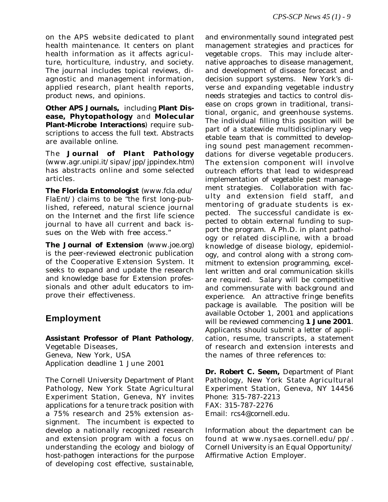on the APS website dedicated to plant health maintenance. It centers on plant health information as it affects agriculture, horticulture, industry, and society. The journal includes topical reviews, diagnostic and management information, applied research, plant health reports, product news, and opinions.

**Other APS Journals,** including **Plant Disease, Phytopathology** and **Molecular Plant-Microbe Interactions**) require subscriptions to access the full text. Abstracts are available online.

The **Journal of Plant Pathology** (*www.agr.unipi.it/sipav/jpp/jppindex.htm*) has abstracts online and some selected articles.

**The Florida Entomologist** (*www.fcla.edu/ FlaEnt/*) claims to be "the first long-published, refereed, natural science journal on the Internet and the first life science journal to have all current and back issues on the Web with free access."

**The Journal of Extension** (*www.joe.org*) is the peer-reviewed electronic publication of the Cooperative Extension System. It seeks to expand and update the research and knowledge base for Extension professionals and other adult educators to improve their effectiveness.

### **Employment**

**Assistant Professor of Plant Pathology**, Vegetable Diseases, Geneva, New York, USA Application deadline 1 June 2001

The Cornell University Department of Plant Pathology, New York State Agricultural Experiment Station, Geneva, NY invites applications for a tenure track position with a 75% research and 25% extension assignment. The incumbent is expected to develop a nationally recognized research and extension program with a focus on understanding the ecology and biology of host-pathogen interactions for the purpose of developing cost effective, sustainable,

and environmentally sound integrated pest management strategies and practices for vegetable crops. This may include alternative approaches to disease management, and development of disease forecast and decision support systems. New York's diverse and expanding vegetable industry needs strategies and tactics to control disease on crops grown in traditional, transitional, organic, and greenhouse systems. The individual filling this position will be part of a statewide multidisciplinary vegetable team that is committed to developing sound pest management recommendations for diverse vegetable producers. The extension component will involve outreach efforts that lead to widespread implementation of vegetable pest management strategies. Collaboration with faculty and extension field staff, and mentoring of graduate students is expected. The successful candidate is expected to obtain external funding to support the program. A Ph.D. in plant pathology or related discipline, with a broad knowledge of disease biology, epidemiology, and control along with a strong commitment to extension programming, excellent written and oral communication skills are required. Salary will be competitive and commensurate with background and experience. An attractive fringe benefits package is available. The position will be available October 1, 2001 and applications will be reviewed commencing **1 June 2001**. Applicants should submit a letter of application, resume, transcripts, a statement of research and extension interests and the names of three references to:

**Dr. Robert C. Seem,** Department of Plant Pathology, New York State Agricultural Experiment Station, Geneva, NY 14456 Phone: 315-787-2213 FAX: 315-787-2276 Email: *rcs4@cornell.edu*.

Information about the department can be found at *www.nysaes.cornell.edu/pp/*. Cornell University is an Equal Opportunity/ Affirmative Action Employer.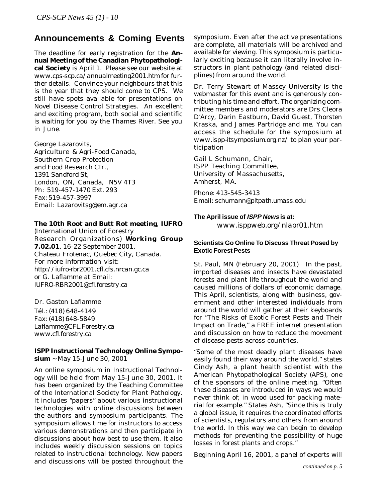### **Announcements & Coming Events**

The deadline for early registration for the **Annual Meeting of the Canadian Phytopathological Society** is April 1. Please see our website at *www.cps-scp.ca/annualmeeting2001.htm* for further details. Convince your neighbours that this is the year that they should come to CPS. We still have spots available for presentations on Novel Disease Control Strategies. An excellent and exciting program, both social and scientific is waiting for you by the Thames River. See you in June.

George Lazarovits, Agriculture & Agri-Food Canada, Southern Crop Protection and Food Research Ctr., 1391 Sandford St, London, ON, Canada, N5V 4T3 Ph: 519-457-1470 Ext. 293 Fax: 519-457-3997 Email: Lazarovitsg@em.agr.ca

#### **The 10th Root and Butt Rot meeting**, **IUFRO**

(International Union of Forestry Research Organizations) **Working Group 7.02.01**, 16-22 September 2001. Chateau Frotenac, Quebec City, Canada. For more information visit: *http://iufro-rbr2001.cfl.cfs.nrcan.gc.ca* or G. Laflamme at Email: *IUFRO-RBR2001@cfl.forestry.ca*

Dr. Gaston Laflamme Tél.: (418) 648-4149 Fax: (418) 648-5849 *Laflamme@CFL.Forestry.ca www.cfl.forestry.ca*

#### **ISPP Instructional Technology Online Symposium** ~ May 15-June 30, 2001

An online symposium in Instructional Technology will be held from May 15-June 30, 2001. It has been organized by the Teaching Committee of the International Society for Plant Pathology. It includes "papers" about various instructional technologies with online discussions between the authors and symposium participants. The symposium allows time for instructors to access various demonstrations and then participate in discussions about how best to use them. It also includes weekly discussion sessions on topics related to instructional technology. New papers and discussions will be posted throughout the symposium. Even after the active presentations are complete, all materials will be archived and available for viewing. This symposium is particularly exciting because it can literally involve instructors in plant pathology (and related disciplines) from around the world.

Dr. Terry Stewart of Massey University is the webmaster for this event and is generously contributing his time and effort. The organizing committee members and moderators are Drs Cleora D'Arcy, Darin Eastburn, David Guest, Thorsten Kraska, and James Partridge and me. You can access the schedule for the symposium at *www.ispp-itsymposium.org.nz/* to plan your participation

Gail L Schumann, Chair, ISPP Teaching Committee, University of Massachusetts, Amherst, MA.

Phone: 413-545-3413 Email: *schumann@pltpath.umass.edu*

### **The April issue of ISPP News is at:** *www.isppweb.org/nlapr01.htm*

#### **Scientists Go Online To Discuss Threat Posed by Exotic Forest Pests**

St. Paul, MN (February 20, 2001) In the past, imported diseases and insects have devastated forests and plant life throughout the world and caused millions of dollars of economic damage. This April, scientists, along with business, government and other interested individuals from around the world will gather at their keyboards for "The Risks of Exotic Forest Pests and Their Impact on Trade," a FREE internet presentation and discussion on how to reduce the movement of disease pests across countries.

"Some of the most deadly plant diseases have easily found their way around the world," states Cindy Ash, a plant health scientist with the American Phytopathological Society (APS), one of the sponsors of the online meeting. "Often these diseases are introduced in ways we would never think of; in wood used for packing material for example." States Ash, "Since this is truly a global issue, it requires the coordinated efforts of scientists, regulators and others from around the world. In this way we can begin to develop methods for preventing the possibility of huge losses in forest plants and crops."

Beginning April 16, 2001, a panel of experts will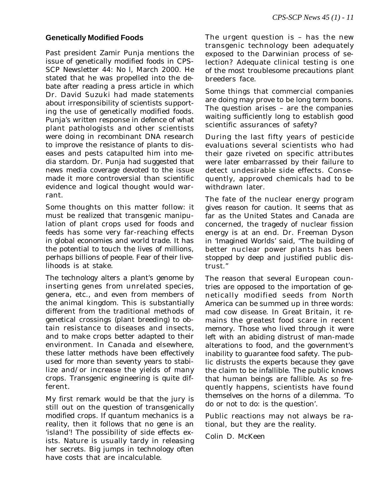#### **Genetically Modified Foods**

Past president Zamir Punja mentions the issue of genetically modified foods in CPS-SCP Newsletter 44: No l, March 2000. He stated that he was propelled into the debate after reading a press article in which Dr. David Suzuki had made statements about irresponsibility of scientists supporting the use of genetically modified foods. Punja's written response in defence of what plant pathologists and other scientists were doing in recombinant DNA research to improve the resistance of plants to diseases and pests catapulted him into media stardom. Dr. Punja had suggested that news media coverage devoted to the issue made it more controversial than scientific evidence and logical thought would warrant.

Some thoughts on this matter follow: it must be realized that transgenic manipulation of plant crops used for foods and feeds has some very far-reaching effects in global economies and world trade. It has the potential to touch the lives of millions, perhaps billions of people. Fear of their livelihoods is at stake.

The technology alters a plant's genome by inserting genes from unrelated species, genera, etc., and even from members of the animal kingdom. This is substantially different from the traditional methods of genetical crossings (plant breeding) to obtain resistance to diseases and insects, and to make crops better adapted to their environment. In Canada and elsewhere, these latter methods have been effectively used for more than seventy years to stabilize and/or increase the yields of many crops. Transgenic engineering is quite different.

My first remark would be that the jury is still out on the question of transgenically modified crops. If quantum mechanics is a reality, then it follows that no gene is an 'island'! The possibility of side effects exists. Nature is usually tardy in releasing her secrets. Big jumps in technology often have costs that are incalculable.

The urgent question is – has the new transgenic technology been adequately exposed to the Darwinian process of selection? Adequate clinical testing is one of the most troublesome precautions plant breeders face.

Some things that commercial companies are doing may prove to be long term boons. The question arises – are the companies waiting sufficiently long to establish good scientific assurances of safety?

During the last fifty years of pesticide evaluations several scientists who had their gaze riveted on specific attributes were later embarrassed by their failure to detect undesirable side effects. Consequently, approved chemicals had to be withdrawn later.

The fate of the nuclear energy program gives reason for caution. It seems that as far as the United States and Canada are concerned, the tragedy of nuclear fission energy is at an end. Dr. Freeman Dyson in 'Imagined Worlds' said, "The building of better nuclear power plants has been stopped by deep and justified public distrust."

The reason that several European countries are opposed to the importation of genetically modified seeds from North America can be summed up in three words: mad cow disease. In Great Britain, it remains the greatest food scare in recent memory. Those who lived through it were left with an abiding distrust of man-made alterations to food, and the government's inability to guarantee food safety. The public distrusts the experts because they gave the claim to be infallible. The public knows that human beings are fallible. As so frequently happens, scientists have found themselves on the horns of a dilemma. 'To do or not to do: is the question'.

Public reactions may not always be rational, but they are the reality.

Colin D. McKeen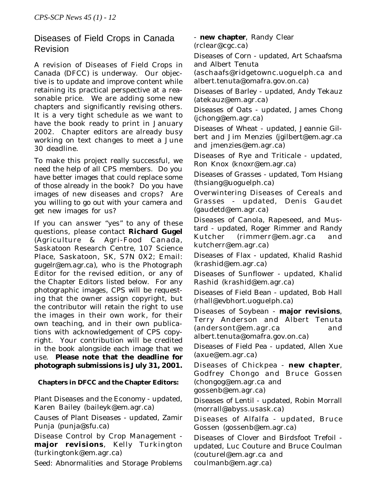# Diseases of Field Crops in Canada Revision

A revision of *Diseases of Field Crops in Canada* (DFCC) is underway. Our objective is to update and improve content while retaining its practical perspective at a reasonable price. We are adding some new chapters and significantly revising others. It is a very tight schedule as we want to have the book ready to print in January 2002. Chapter editors are already busy working on text changes to meet a June 30 deadline.

To make this project really successful, we need the help of all CPS members. Do you have better images that could replace some of those already in the book? Do you have images of new diseases and crops? Are you willing to go out with your camera and get new images for us?

If you can answer "yes" to any of these questions, please contact **Richard Gugel** (Agriculture & Agri-Food Canada, Saskatoon Research Centre, 107 Science Place, Saskatoon, SK, S7N 0X2; Email: *gugelr@em.agr.ca*), who is the Photograph Editor for the revised edition, or any of the Chapter Editors listed below. For any photographic images, CPS will be requesting that the owner assign copyright, but the contributor will retain the right to use the images in their own work, for their own teaching, and in their own publications with acknowledgement of CPS copyright. Your contribution will be credited in the book alongside each image that we use. **Please note that the deadline for photograph submissions is July 31, 2001.**

#### **Chapters in DFCC and the Chapter Editors:**

Plant Diseases and the Economy - updated, Karen Bailey (baileyk@em.agr.ca)

Causes of Plant Diseases - updated, Zamir Punja (punja@sfu.ca)

Disease Control by Crop Management **major revisions**, Kelly Turkington (turkingtonk@em.agr.ca)

Seed: Abnormalities and Storage Problems

- **new chapter**, Randy Clear (rclear@cgc.ca)

Diseases of Corn - updated, Art Schaafsma and Albert Tenuta

(aschaafs@ridgetownc.uoguelph.ca and albert.tenuta@omafra.gov.on.ca)

Diseases of Barley - updated, Andy Tekauz (atekauz@em.agr.ca)

Diseases of Oats - updated, James Chong (jchong@em.agr.ca)

Diseases of Wheat - updated, Jeannie Gilbert and Jim Menzies (jgilbert@em.agr.ca and jmenzies@em.agr.ca)

Diseases of Rye and Triticale - updated, Ron Knox (knoxr@em.agr.ca)

Diseases of Grasses - updated, Tom Hsiang (thsiang@uoguelph.ca)

Overwintering Diseases of Cereals and Grasses - updated, Denis Gaudet (gaudetd@em.agr.ca)

Diseases of Canola, Rapeseed, and Mustard - updated, Roger Rimmer and Randy Kutcher (rimmerr@em.agr.ca and kutcherr@em.agr.ca)

Diseases of Flax - updated, Khalid Rashid (krashid@em.agr.ca)

Diseases of Sunflower - updated, Khalid Rashid (krashid@em.agr.ca)

Diseases of Field Bean - updated, Bob Hall (rhall@evbhort.uoguelph.ca)

Diseases of Soybean - **major revisions**, Terry Anderson and Albert Tenuta (andersont@em.agr.ca and albert.tenuta@omafra.gov.on.ca)

Diseases of Field Pea - updated, Allen Xue (axue@em.agr.ca)

Diseases of Chickpea - **new chapter**, Godfrey Chongo and Bruce Gossen (chongog@em.agr.ca and gossenb@em.agr.ca)

Diseases of Lentil - updated, Robin Morrall (morrall@abyss.usask.ca)

Diseases of Alfalfa - updated, Bruce Gossen (gossenb@em.agr.ca)

Diseases of Clover and Birdsfoot Trefoil updated, Luc Couture and Bruce Coulman (couturel@em.agr.ca and coulmanb@em.agr.ca)